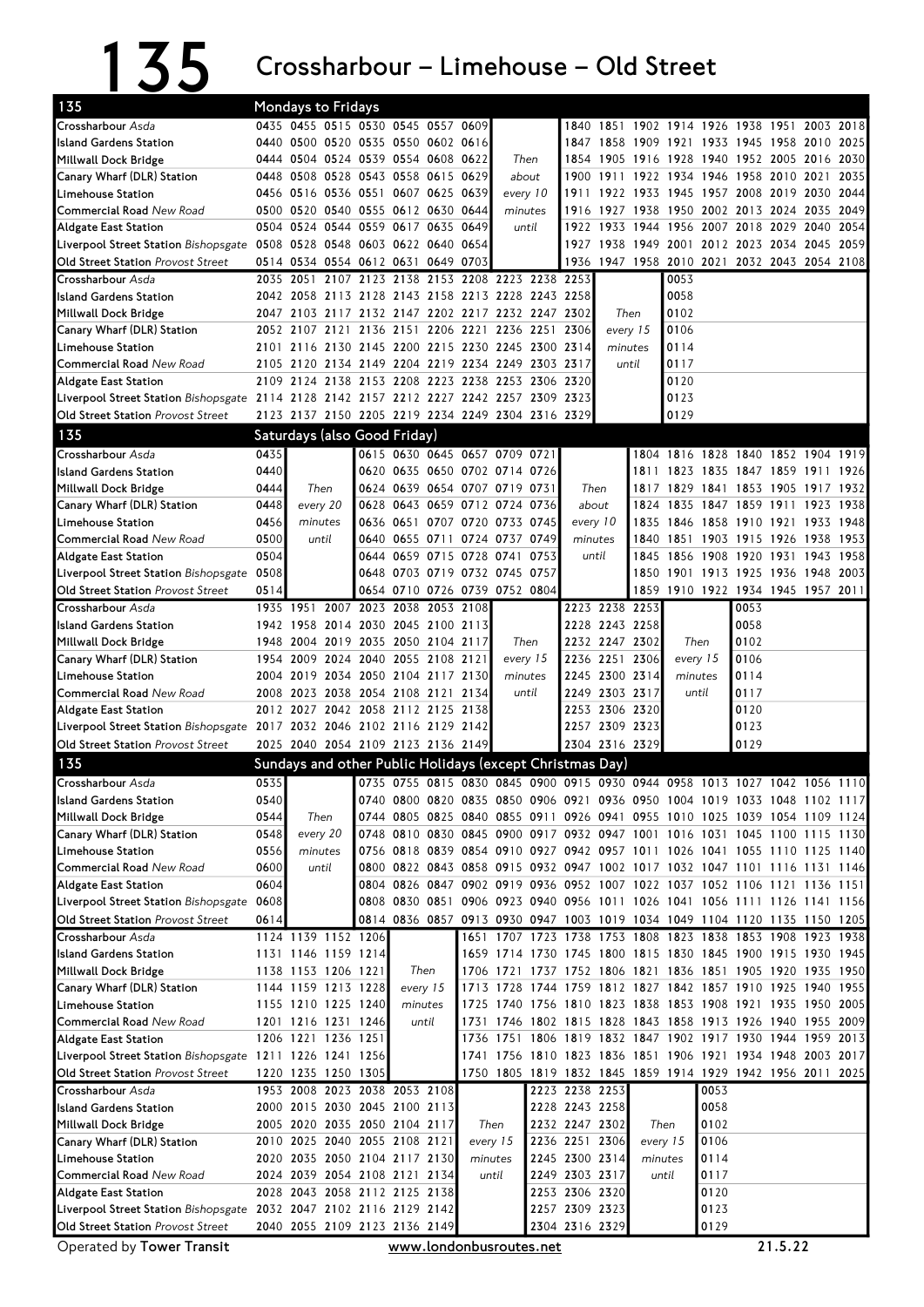## 135 Crossharbour – Limehouse – Old Street

| 135                                                                                                                |           | <b>Mondays to Fridays</b>                                                                              |      |  |                               |                                         |          |          |       |                |                                  |          |              |      |                                                                                                                       |      |      |
|--------------------------------------------------------------------------------------------------------------------|-----------|--------------------------------------------------------------------------------------------------------|------|--|-------------------------------|-----------------------------------------|----------|----------|-------|----------------|----------------------------------|----------|--------------|------|-----------------------------------------------------------------------------------------------------------------------|------|------|
| Crossharbour Asda                                                                                                  |           | 0435 0455 0515 0530 0545 0557 0609                                                                     |      |  |                               |                                         |          |          |       |                |                                  |          |              |      | 1840 1851 1902 1914 1926 1938 1951 2003 2018                                                                          |      |      |
| Island Gardens Station                                                                                             |           | 0440 0500 0520 0535 0550 0602 0616                                                                     |      |  |                               |                                         |          |          |       |                |                                  |          |              |      | 1847 1858 1909 1921 1933 1945 1958 2010                                                                               |      | 2025 |
| Millwall Dock Bridge                                                                                               |           | 0444 0504 0524 0539 0554 0608 0622                                                                     |      |  |                               |                                         |          | Then     |       |                | 1854 1905 1916                   |          |              |      | 1928 1940 1952 2005 2016 2030                                                                                         |      |      |
| Canary Wharf (DLR) Station                                                                                         | 0448      | 0508 0528 0543 0558 0615 0629                                                                          |      |  |                               |                                         |          | about    |       | 1900           |                                  |          |              |      | 1911 1922 1934 1946 1958 2010 2021                                                                                    |      | 2035 |
| Limehouse Station                                                                                                  |           | 0456 0516 0536 0551 0607 0625 0639                                                                     |      |  |                               |                                         |          | every 10 |       | 1911           |                                  |          |              |      | 1922 1933 1945 1957 2008 2019 2030 2044                                                                               |      |      |
| Commercial Road New Road                                                                                           |           | 0500 0520 0540 0555 0612 0630 0644                                                                     |      |  |                               |                                         |          | minutes  |       |                | 1916 1927 1938                   |          |              |      | 1950 2002 2013 2024 2035 2049                                                                                         |      |      |
| Aldgate East Station                                                                                               |           | 0504 0524 0544 0559 0617 0635 0649                                                                     |      |  |                               |                                         |          |          | until |                | 1922 1933 1944                   |          |              |      | 1956 2007 2018 2029 2040                                                                                              |      | 2054 |
| Liverpool Street Station Bishopsgate 0508 0528 0548 0603 0622 0640 0654                                            |           |                                                                                                        |      |  |                               |                                         |          |          |       |                |                                  |          |              |      | 1927 1938 1949 2001 2012 2023 2034 2045 2059                                                                          |      |      |
| <b>Old Street Station Provost Street</b>                                                                           |           | 0514 0534 0554 0612 0631 0649 0703                                                                     |      |  |                               |                                         |          |          |       |                |                                  |          |              |      | 1936 1947 1958 2010 2021 2032 2043 2054 2108                                                                          |      |      |
| Crossharbour Asda                                                                                                  |           | 2035 2051                                                                                              |      |  |                               | 2107 2123 2138 2153 2208 2223 2238 2253 |          |          |       |                |                                  |          | 0053<br>0058 |      |                                                                                                                       |      |      |
| Island Gardens Station                                                                                             |           | 2042 2058 2113 2128 2143 2158 2213 2228 2243 2258                                                      |      |  |                               |                                         |          |          |       |                | Then                             |          | 0102         |      |                                                                                                                       |      |      |
| Millwall Dock Bridge<br>Canary Wharf (DLR) Station                                                                 |           | 2047 2103 2117 2132 2147 2202 2217 2232 2247 2302<br>2052 2107 2121 2136 2151 2206 2221 2236 2251 2306 |      |  |                               |                                         |          |          |       |                | every 15                         |          | 0106         |      |                                                                                                                       |      |      |
| Limehouse Station                                                                                                  |           | 2101 2116 2130 2145 2200 2215 2230 2245 2300 2314                                                      |      |  |                               |                                         |          |          |       |                | minutes                          |          | 0114         |      |                                                                                                                       |      |      |
| <b>Commercial Road</b> New Road                                                                                    |           | 2105 2120 2134 2149 2204 2219 2234 2249 2303 2317                                                      |      |  |                               |                                         |          |          |       |                |                                  | until    | 0117         |      |                                                                                                                       |      |      |
| Aldgate East Station                                                                                               |           | 2109 2124 2138 2153 2208 2223 2238 2253 2306 2320                                                      |      |  |                               |                                         |          |          |       |                |                                  |          | 0120         |      |                                                                                                                       |      |      |
| Liverpool Street Station Bishopsgate 2114 2128 2142 2157 2212 2227 2242 2257 2309 2323                             |           |                                                                                                        |      |  |                               |                                         |          |          |       |                |                                  |          | 0123         |      |                                                                                                                       |      |      |
| Old Street Station Provost Street                                                                                  |           | 2123 2137 2150 2205 2219 2234 2249 2304 2316 2329                                                      |      |  |                               |                                         |          |          |       |                |                                  |          | 0129         |      |                                                                                                                       |      |      |
| 135                                                                                                                |           | Saturdays (also Good Friday)                                                                           |      |  |                               |                                         |          |          |       |                |                                  |          |              |      |                                                                                                                       |      |      |
| Crossharbour Asda                                                                                                  | 0435      |                                                                                                        |      |  |                               | 0615 0630 0645 0657 0709 0721           |          |          |       |                |                                  |          |              |      | 1804 1816 1828 1840 1852 1904 1919                                                                                    |      |      |
| Island Gardens Station                                                                                             | 0440      |                                                                                                        |      |  |                               | 0620 0635 0650 0702 0714 0726           |          |          |       |                |                                  |          |              |      | 1811 1823 1835 1847 1859 1911 1926                                                                                    |      |      |
| Millwall Dock Bridge                                                                                               | 0444      | Then                                                                                                   |      |  |                               | 0624 0639 0654 0707 0719 0731           |          |          |       | Then           |                                  |          |              |      | 1817 1829 1841 1853 1905 1917 1932                                                                                    |      |      |
| Canary Wharf (DLR) Station                                                                                         | 0448      | every 20                                                                                               |      |  |                               | 0628 0643 0659 0712 0724 0736           |          |          |       | about          |                                  | 1824     |              |      | 1835 1847 1859 1911 1923                                                                                              |      | 1938 |
| Limehouse Station                                                                                                  | 0456      | minutes                                                                                                |      |  |                               | 0636 0651 0707 0720 0733 0745           |          |          |       | every 10       |                                  | 1835     |              |      | 1846 1858 1910 1921 1933 1948                                                                                         |      |      |
| Commercial Road New Road                                                                                           | 0500      | until                                                                                                  |      |  |                               | 0640 0655 0711 0724 0737 0749           |          |          |       | minutes        |                                  | 1840     |              |      | 1851 1903 1915 1926 1938 1953                                                                                         |      |      |
| Aldgate East Station                                                                                               | 0504      |                                                                                                        |      |  |                               | 0644 0659 0715 0728 0741 0753           |          |          |       | until          |                                  | 1845     |              |      | 1856 1908 1920 1931                                                                                                   | 1943 | 1958 |
| Liverpool Street Station Bishopsgate 0508                                                                          |           |                                                                                                        |      |  |                               | 0648 0703 0719 0732 0745 0757           |          |          |       |                |                                  |          |              |      | 1850 1901 1913 1925 1936 1948 2003                                                                                    |      |      |
| <b>Old Street Station Provost Street</b>                                                                           | 0514      |                                                                                                        |      |  |                               | 0654 0710 0726 0739 0752 0804           |          |          |       |                |                                  |          |              |      | 1859 1910 1922 1934 1945 1957 2011                                                                                    |      |      |
| Crossharbour Asda                                                                                                  | 1935 1951 |                                                                                                        | 2007 |  |                               | 2023 2038 2053 2108                     |          |          |       |                | 2223 2238 2253                   |          |              |      | 0053                                                                                                                  |      |      |
| Island Gardens Station                                                                                             |           | 1942 1958 2014 2030 2045 2100 2113                                                                     |      |  |                               |                                         |          |          |       |                | 2228 2243 2258                   |          |              |      | 0058                                                                                                                  |      |      |
| Millwall Dock Bridge                                                                                               | 1948      | 2004 2019 2035 2050 2104 2117                                                                          |      |  |                               |                                         |          | Then     |       |                | 2232 2247 2302                   |          | Then         |      | 0102                                                                                                                  |      |      |
| Canary Wharf (DLR) Station                                                                                         |           | 1954 2009 2024 2040 2055 2108 2121                                                                     |      |  |                               |                                         |          | every 15 |       |                | 2236 2251 2306                   |          | every 15     |      | 0106                                                                                                                  |      |      |
| Limehouse Station                                                                                                  |           | 2004 2019 2034 2050 2104 2117 2130                                                                     |      |  |                               |                                         |          | minutes  |       |                | 2245 2300 2314                   |          | minutes      |      | 0114                                                                                                                  |      |      |
| Commercial Road New Road<br><b>Aldgate East Station</b>                                                            |           | 2008 2023 2038 2054 2108 2121 2134<br>2012 2027 2042 2058 2112 2125 2138                               |      |  |                               |                                         |          |          | until |                | 2249 2303 2317<br>2253 2306 2320 |          | until        |      | 0117<br>0120                                                                                                          |      |      |
| Liverpool Street Station Bishopsgate 2017 2032 2046 2102 2116 2129 2142                                            |           |                                                                                                        |      |  |                               |                                         |          |          |       |                | 2257 2309 2323                   |          |              |      | 0123                                                                                                                  |      |      |
| Old Street Station Provost Street                                                                                  |           | 2025 2040 2054 2109 2123 2136 2149                                                                     |      |  |                               |                                         |          |          |       |                | 2304 2316 2329                   |          |              |      | 0129                                                                                                                  |      |      |
| 135                                                                                                                |           | Sundays and other Public Holidays (except Christmas Day)                                               |      |  |                               |                                         |          |          |       |                |                                  |          |              |      |                                                                                                                       |      |      |
| Crossharbour Asda                                                                                                  | 0535      |                                                                                                        |      |  |                               |                                         |          |          |       |                |                                  |          |              |      | 0735 0755 0815 0830 0845 0900 0915 0930 0944 0958 1013 1027 1042 1056 1110                                            |      |      |
| <b>Island Gardens Station</b>                                                                                      | 0540      |                                                                                                        |      |  |                               |                                         |          |          |       |                |                                  |          |              |      | 0740 0800 0820 0835 0850 0906 0921 0936 0950 1004 1019 1033 1048 1102 1117                                            |      |      |
| Millwall Dock Bridge                                                                                               | 0544      | Then                                                                                                   |      |  |                               |                                         |          |          |       |                |                                  |          |              |      | 0744 0805 0825 0840 0855 0911 0926 0941 0955 1010 1025 1039 1054 1109 1124                                            |      |      |
| Canary Wharf (DLR) Station                                                                                         | 0548      | every 20                                                                                               |      |  |                               |                                         |          |          |       |                |                                  |          |              |      | 0748 0810 0830 0845 0900 0917 0932 0947 1001 1016 1031 1045 1100 1115 1130                                            |      |      |
| Limehouse Station                                                                                                  | 0556      | minutes                                                                                                |      |  |                               |                                         |          |          |       |                |                                  |          |              |      | 0756 0818 0839 0854 0910 0927 0942 0957 1011 1026 1041 1055 1110 1125 1140                                            |      |      |
| Commercial Road New Road                                                                                           | 0600      | until                                                                                                  |      |  |                               |                                         |          |          |       |                |                                  |          |              |      | 0800 0822 0843 0858 0915 0932 0947 1002 1017 1032 1047 1101 1116 1131 1146                                            |      |      |
| <b>Aldgate East Station</b>                                                                                        | 0604      |                                                                                                        |      |  |                               |                                         |          |          |       |                |                                  |          |              |      | 0804 0826 0847 0902 0919 0936 0952 1007 1022 1037 1052 1106 1121 1136 1151                                            |      |      |
| Liverpool Street Station Bishopsgate                                                                               | 0608      |                                                                                                        |      |  |                               |                                         |          |          |       |                |                                  |          |              |      | 0808 0830 0851 0906 0923 0940 0956 1011 1026 1041 1056 1111 1126 1141 1156                                            |      |      |
| Old Street Station Provost Street                                                                                  | 0614      |                                                                                                        |      |  |                               |                                         |          |          |       |                |                                  |          |              |      | 0814 0836 0857 0913 0930 0947 1003 1019 1034 1049 1104 1120 1135 1150 1205                                            |      |      |
| Crossharbour Asda                                                                                                  |           | 1124 1139 1152 1206                                                                                    |      |  |                               |                                         |          |          |       |                |                                  |          |              |      | 1651 1707 1723 1738 1753 1808 1823 1838 1853 1908 1923 1938                                                           |      |      |
| <b>Island Gardens Station</b>                                                                                      |           | 1131 1146 1159 1214                                                                                    |      |  |                               |                                         |          |          |       |                |                                  |          |              |      | 1659 1714 1730 1745 1800 1815 1830 1845 1900 1915 1930 1945                                                           |      |      |
| Millwall Dock Bridge                                                                                               |           | 1138 1153 1206 1221                                                                                    |      |  | Then                          |                                         |          |          |       |                |                                  |          |              |      | 1706 1721 1737 1752 1806 1821 1836 1851 1905 1920 1935 1950                                                           |      |      |
| Canary Wharf (DLR) Station                                                                                         |           | 1144 1159 1213 1228                                                                                    |      |  | every 15                      |                                         |          |          |       |                |                                  |          |              |      | 1713 1728 1744 1759 1812 1827 1842 1857 1910 1925 1940 1955                                                           |      |      |
| Limehouse Station<br>Commercial Road New Road                                                                      |           | 1155 1210 1225 1240<br>1201 1216 1231 1246                                                             |      |  | minutes                       | until                                   | 1731     |          |       |                |                                  |          |              |      | 1725 1740 1756 1810 1823 1838 1853 1908 1921 1935 1950 2005<br>1746 1802 1815 1828 1843 1858 1913 1926 1940 1955 2009 |      |      |
| <b>Aldgate East Station</b>                                                                                        |           | 1206 1221 1236 1251                                                                                    |      |  |                               |                                         |          |          |       |                |                                  |          |              |      | 1736 1751 1806 1819 1832 1847 1902 1917 1930 1944 1959 2013                                                           |      |      |
| Liverpool Street Station Bishopsgate 1211 1226 1241 1256                                                           |           |                                                                                                        |      |  |                               |                                         |          |          |       |                |                                  |          |              |      | 1741 1756 1810 1823 1836 1851 1906 1921 1934 1948 2003 2017                                                           |      |      |
| Old Street Station Provost Street                                                                                  |           | 1220 1235 1250 1305                                                                                    |      |  |                               |                                         |          |          |       |                |                                  |          |              |      | 1750 1805 1819 1832 1845 1859 1914 1929 1942 1956 2011 2025                                                           |      |      |
| Crossharbour Asda                                                                                                  |           | 1953 2008 2023 2038 2053 2108                                                                          |      |  |                               |                                         |          |          |       | 2223 2238 2253 |                                  |          |              | 0053 |                                                                                                                       |      |      |
| Island Gardens Station                                                                                             |           | 2000 2015 2030 2045 2100 2113                                                                          |      |  |                               |                                         |          |          |       | 2228 2243 2258 |                                  |          |              | 0058 |                                                                                                                       |      |      |
| Millwall Dock Bridge                                                                                               |           |                                                                                                        |      |  | 2005 2020 2035 2050 2104 2117 |                                         | Then     |          |       | 2232 2247 2302 |                                  | Then     |              | 0102 |                                                                                                                       |      |      |
| Canary Wharf (DLR) Station                                                                                         |           |                                                                                                        |      |  | 2010 2025 2040 2055 2108 2121 |                                         | every 15 |          |       | 2236 2251 2306 |                                  | every 15 |              | 0106 |                                                                                                                       |      |      |
| Limehouse Station                                                                                                  |           | 2020 2035 2050 2104 2117 2130                                                                          |      |  |                               |                                         | minutes  |          |       | 2245 2300 2314 |                                  | minutes  |              | 0114 |                                                                                                                       |      |      |
| Commercial Road New Road                                                                                           |           | 2024 2039 2054 2108 2121 2134                                                                          |      |  |                               |                                         |          | until    |       | 2249 2303 2317 |                                  |          | until        | 0117 |                                                                                                                       |      |      |
| <b>Aldgate East Station</b>                                                                                        |           | 2028 2043 2058 2112 2125 2138                                                                          |      |  |                               |                                         |          |          |       | 2253 2306 2320 |                                  |          |              | 0120 |                                                                                                                       |      |      |
| Liverpool Street Station Bishopsgate 2032 2047 2102 2116 2129 2142                                                 |           |                                                                                                        |      |  |                               |                                         |          |          |       | 2257 2309 2323 |                                  |          |              | 0123 |                                                                                                                       |      |      |
| Old Street Station Provost Street                                                                                  |           |                                                                                                        |      |  |                               |                                         |          |          |       |                |                                  |          |              | 0129 |                                                                                                                       |      |      |
| 2304 2316 2329<br>2040 2055 2109 2123 2136 2149<br>21.5.22<br>Operated by Tower Transit<br>www.londonbusroutes.net |           |                                                                                                        |      |  |                               |                                         |          |          |       |                |                                  |          |              |      |                                                                                                                       |      |      |